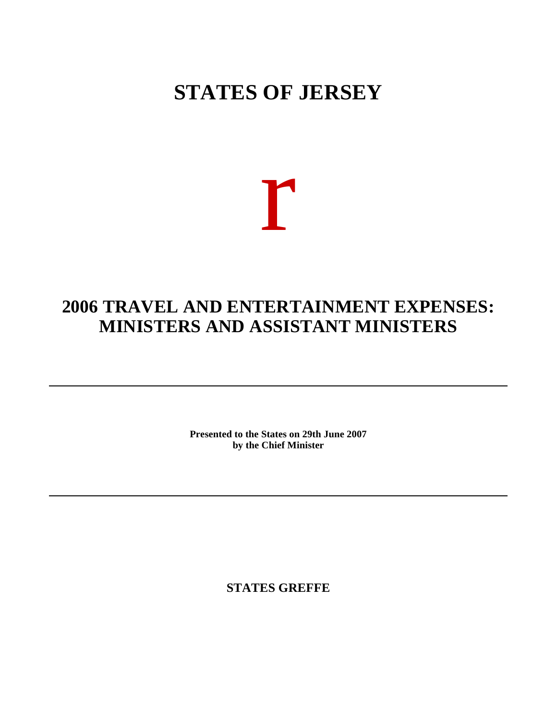## **STATES OF JERSEY**

## r

## **2006 TRAVEL AND ENTERTAINMENT EXPENSES: MINISTERS AND ASSISTANT MINISTERS**

**Presented to the States on 29th June 2007 by the Chief Minister**

**STATES GREFFE**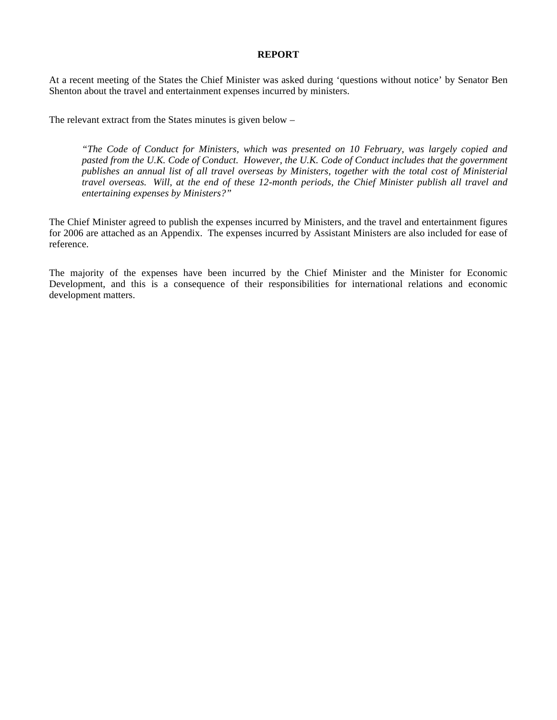## **REPORT**

At a recent meeting of the States the Chief Minister was asked during 'questions without notice' by Senator Ben Shenton about the travel and entertainment expenses incurred by ministers.

The relevant extract from the States minutes is given below –

*"The Code of Conduct for Ministers, which was presented on 10 February, was largely copied and pasted from the U.K. Code of Conduct. However, the U.K. Code of Conduct includes that the government publishes an annual list of all travel overseas by Ministers, together with the total cost of Ministerial travel overseas. Will, at the end of these 12-month periods, the Chief Minister publish all travel and entertaining expenses by Ministers?"*

The Chief Minister agreed to publish the expenses incurred by Ministers, and the travel and entertainment figures for 2006 are attached as an Appendix. The expenses incurred by Assistant Ministers are also included for ease of reference.

The majority of the expenses have been incurred by the Chief Minister and the Minister for Economic Development, and this is a consequence of their responsibilities for international relations and economic development matters.